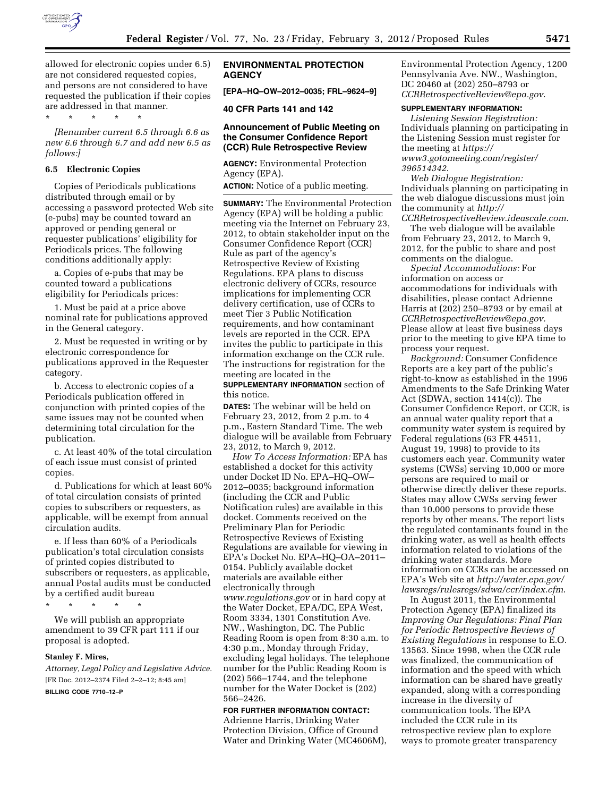

allowed for electronic copies under 6.5) are not considered requested copies, and persons are not considered to have requested the publication if their copies are addressed in that manner.

\* \* \* \* \*

*[Renumber current 6.5 through 6.6 as new 6.6 through 6.7 and add new 6.5 as follows:]* 

### **6.5 Electronic Copies**

Copies of Periodicals publications distributed through email or by accessing a password protected Web site (e-pubs) may be counted toward an approved or pending general or requester publications' eligibility for Periodicals prices. The following conditions additionally apply:

a. Copies of e-pubs that may be counted toward a publications eligibility for Periodicals prices:

1. Must be paid at a price above nominal rate for publications approved in the General category.

2. Must be requested in writing or by electronic correspondence for publications approved in the Requester category.

b. Access to electronic copies of a Periodicals publication offered in conjunction with printed copies of the same issues may not be counted when determining total circulation for the publication.

c. At least 40% of the total circulation of each issue must consist of printed copies.

d. Publications for which at least 60% of total circulation consists of printed copies to subscribers or requesters, as applicable, will be exempt from annual circulation audits.

e. If less than 60% of a Periodicals publication's total circulation consists of printed copies distributed to subscribers or requesters, as applicable, annual Postal audits must be conducted by a certified audit bureau

\* \* \* \* \*

We will publish an appropriate amendment to 39 CFR part 111 if our proposal is adopted.

#### **Stanley F. Mires,**

*Attorney, Legal Policy and Legislative Advice.*  [FR Doc. 2012–2374 Filed 2–2–12; 8:45 am]

**BILLING CODE 7710–12–P** 

## **ENVIRONMENTAL PROTECTION AGENCY**

**[EPA–HQ–OW–2012–0035; FRL–9624–9]** 

**40 CFR Parts 141 and 142** 

# **Announcement of Public Meeting on the Consumer Confidence Report (CCR) Rule Retrospective Review**

**AGENCY:** Environmental Protection Agency (EPA).

**ACTION:** Notice of a public meeting.

**SUMMARY:** The Environmental Protection Agency (EPA) will be holding a public meeting via the Internet on February 23, 2012, to obtain stakeholder input on the Consumer Confidence Report (CCR) Rule as part of the agency's Retrospective Review of Existing Regulations. EPA plans to discuss electronic delivery of CCRs, resource implications for implementing CCR delivery certification, use of CCRs to meet Tier 3 Public Notification requirements, and how contaminant levels are reported in the CCR. EPA invites the public to participate in this information exchange on the CCR rule. The instructions for registration for the meeting are located in the **SUPPLEMENTARY INFORMATION** section of this notice.

**DATES:** The webinar will be held on February 23, 2012, from 2 p.m. to 4 p.m., Eastern Standard Time. The web dialogue will be available from February 23, 2012, to March 9, 2012.

*How To Access Information:* EPA has established a docket for this activity under Docket ID No. EPA–HQ–OW– 2012–0035; background information (including the CCR and Public Notification rules) are available in this docket. Comments received on the Preliminary Plan for Periodic Retrospective Reviews of Existing Regulations are available for viewing in EPA's Docket No. EPA–HQ–OA–2011– 0154. Publicly available docket materials are available either electronically through *[www.regulations.gov](http://www.regulations.gov)* or in hard copy at the Water Docket, EPA/DC, EPA West, Room 3334, 1301 Constitution Ave. NW., Washington, DC. The Public Reading Room is open from 8:30 a.m. to 4:30 p.m., Monday through Friday, excluding legal holidays. The telephone number for the Public Reading Room is (202) 566–1744, and the telephone number for the Water Docket is (202) 566–2426.

### **FOR FURTHER INFORMATION CONTACT:**

Adrienne Harris, Drinking Water Protection Division, Office of Ground Water and Drinking Water (MC4606M), Environmental Protection Agency, 1200 Pennsylvania Ave. NW., Washington, DC 20460 at (202) 250–8793 or *[CCRRetrospectiveReview@epa.gov](mailto:CCRRetrospectiveReview@epa.gov)*.

## **SUPPLEMENTARY INFORMATION:**

*Listening Session Registration:*  Individuals planning on participating in the Listening Session must register for the meeting at *[https://](https://www3.gotomeeting.com/register/396514342) [www3.gotomeeting.com/register/](https://www3.gotomeeting.com/register/396514342)  [396514342](https://www3.gotomeeting.com/register/396514342)*.

*Web Dialogue Registration:*  Individuals planning on participating in the web dialogue discussions must join the community at *[http://](http://CCRRetrospectiveReview.ideascale.com)  [CCRRetrospectiveReview.ideascale.com](http://CCRRetrospectiveReview.ideascale.com)*.

The web dialogue will be available from February 23, 2012, to March 9, 2012, for the public to share and post comments on the dialogue.

*Special Accommodations:* For information on access or accommodations for individuals with disabilities, please contact Adrienne Harris at (202) 250–8793 or by email at *[CCRRetrospectiveReview@epa.gov.](mailto:CCRRetrospectiveReview@epa.gov)*  Please allow at least five business days prior to the meeting to give EPA time to process your request.

*Background:* Consumer Confidence Reports are a key part of the public's right-to-know as established in the 1996 Amendments to the Safe Drinking Water Act (SDWA, section 1414(c)). The Consumer Confidence Report, or CCR, is an annual water quality report that a community water system is required by Federal regulations (63 FR 44511, August 19, 1998) to provide to its customers each year. Community water systems (CWSs) serving 10,000 or more persons are required to mail or otherwise directly deliver these reports. States may allow CWSs serving fewer than 10,000 persons to provide these reports by other means. The report lists the regulated contaminants found in the drinking water, as well as health effects information related to violations of the drinking water standards. More information on CCRs can be accessed on EPA's Web site at *[http://water.epa.gov/](http://water.epa.gov/lawsregs/rulesregs/sdwa/ccr/index.cfm)  [lawsregs/rulesregs/sdwa/ccr/index.cfm](http://water.epa.gov/lawsregs/rulesregs/sdwa/ccr/index.cfm)*.

In August 2011, the Environmental Protection Agency (EPA) finalized its *Improving Our Regulations: Final Plan for Periodic Retrospective Reviews of Existing Regulations* in response to E.O. 13563. Since 1998, when the CCR rule was finalized, the communication of information and the speed with which information can be shared have greatly expanded, along with a corresponding increase in the diversity of communication tools. The EPA included the CCR rule in its retrospective review plan to explore ways to promote greater transparency